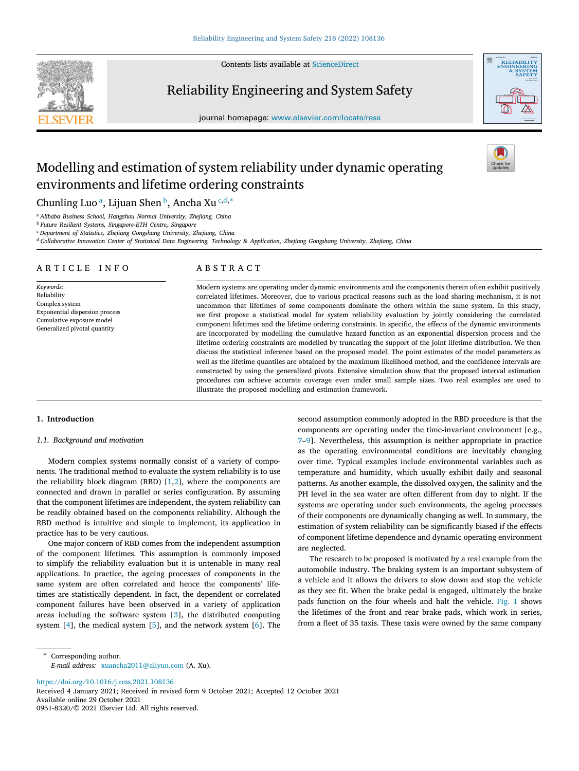Contents lists available at [ScienceDirect](http://www.elsevier.com/locate/ress)



Reliability Engineering and System Safety





# Modelling and estimation of system reliability under dynamic operating environments and lifetime ordering constraints

Chunling Luo ª, Liju[a](#page-0-0)n Shen <sup>[b](#page-0-1)</sup>, An[c](#page-0-2)ha Xu <sup>c,[d](#page-0-3),\*</sup>

<span id="page-0-0"></span><sup>a</sup> *Alibaba Business School, Hangzhou Normal University, Zhejiang, China*

<span id="page-0-1"></span><sup>b</sup> *Future Resilient Systems, Singapore-ETH Centre, Singapore*

<span id="page-0-2"></span><sup>c</sup> *Department of Statistics, Zhejiang Gongshang University, Zhejiang, China*

<span id="page-0-3"></span><sup>d</sup> *Collaborative Innovation Center of Statistical Data Engineering, Technology & Application, Zhejiang Gongshang University, Zhejiang, China*

# ARTICLE INFO

*Keywords:* Reliability Complex system Exponential dispersion process Cumulative exposure model Generalized pivotal quantity

# A B S T R A C T

Modern systems are operating under dynamic environments and the components therein often exhibit positively correlated lifetimes. Moreover, due to various practical reasons such as the load sharing mechanism, it is not uncommon that lifetimes of some components dominate the others within the same system. In this study, we first propose a statistical model for system reliability evaluation by jointly considering the correlated component lifetimes and the lifetime ordering constraints. In specific, the effects of the dynamic environments are incorporated by modelling the cumulative hazard function as an exponential dispersion process and the lifetime ordering constraints are modelled by truncating the support of the joint lifetime distribution. We then discuss the statistical inference based on the proposed model. The point estimates of the model parameters as well as the lifetime quantiles are obtained by the maximum likelihood method, and the confidence intervals are constructed by using the generalized pivots. Extensive simulation show that the proposed interval estimation procedures can achieve accurate coverage even under small sample sizes. Two real examples are used to illustrate the proposed modelling and estimation framework.

# **1. Introduction**

#### <span id="page-0-5"></span>*1.1. Background and motivation*

Modern complex systems normally consist of a variety of components. The traditional method to evaluate the system reliability is to use the reliability block diagram (RBD)  $[1,2]$  $[1,2]$ , where the components are connected and drawn in parallel or series configuration. By assuming that the component lifetimes are independent, the system reliability can be readily obtained based on the components reliability. Although the RBD method is intuitive and simple to implement, its application in practice has to be very cautious.

One major concern of RBD comes from the independent assumption of the component lifetimes. This assumption is commonly imposed to simplify the reliability evaluation but it is untenable in many real applications. In practice, the ageing processes of components in the same system are often correlated and hence the components' lifetimes are statistically dependent. In fact, the dependent or correlated component failures have been observed in a variety of application areas including the software system [[3](#page-8-2)], the distributed computing system [[4](#page-8-3)], the medical system [\[5\]](#page-8-4), and the network system [\[6\]](#page-8-5). The second assumption commonly adopted in the RBD procedure is that the components are operating under the time-invariant environment [e.g., [7](#page-8-6)[–9\]](#page-8-7). Nevertheless, this assumption is neither appropriate in practice as the operating environmental conditions are inevitably changing over time. Typical examples include environmental variables such as temperature and humidity, which usually exhibit daily and seasonal patterns. As another example, the dissolved oxygen, the salinity and the PH level in the sea water are often different from day to night. If the systems are operating under such environments, the ageing processes of their components are dynamically changing as well. In summary, the estimation of system reliability can be significantly biased if the effects of component lifetime dependence and dynamic operating environment are neglected.

The research to be proposed is motivated by a real example from the automobile industry. The braking system is an important subsystem of a vehicle and it allows the drivers to slow down and stop the vehicle as they see fit. When the brake pedal is engaged, ultimately the brake pads function on the four wheels and halt the vehicle. [Fig.](#page-1-0) [1](#page-1-0) shows the lifetimes of the front and rear brake pads, which work in series, from a fleet of 35 taxis. These taxis were owned by the same company

<https://doi.org/10.1016/j.ress.2021.108136>

Available online 29 October 2021 0951-8320/© 2021 Elsevier Ltd. All rights reserved. Received 4 January 2021; Received in revised form 9 October 2021; Accepted 12 October 2021

<span id="page-0-4"></span>Corresponding author. *E-mail address:* [xuancha2011@aliyun.com](mailto:xuancha2011@aliyun.com) (A. Xu).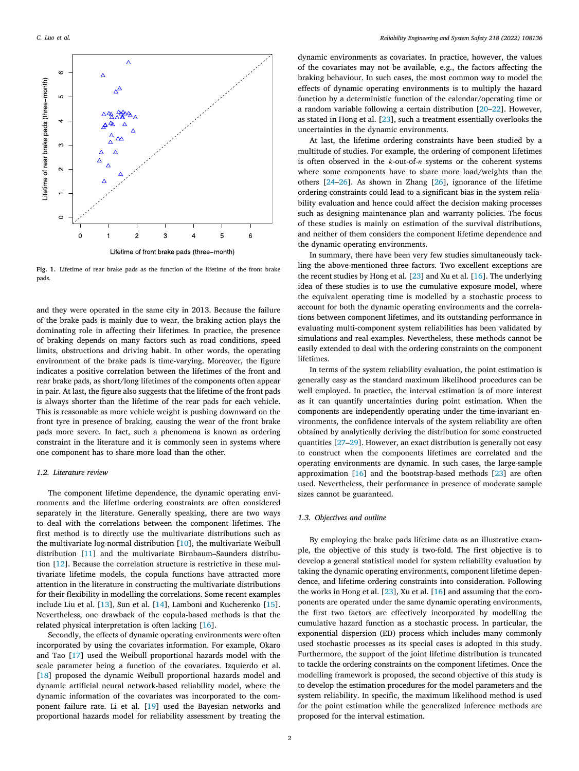

<span id="page-1-0"></span>**Fig. 1.** Lifetime of rear brake pads as the function of the lifetime of the front brake pads.

and they were operated in the same city in 2013. Because the failure of the brake pads is mainly due to wear, the braking action plays the dominating role in affecting their lifetimes. In practice, the presence of braking depends on many factors such as road conditions, speed limits, obstructions and driving habit. In other words, the operating environment of the brake pads is time-varying. Moreover, the figure indicates a positive correlation between the lifetimes of the front and rear brake pads, as short/long lifetimes of the components often appear in pair. At last, the figure also suggests that the lifetime of the front pads is always shorter than the lifetime of the rear pads for each vehicle. This is reasonable as more vehicle weight is pushing downward on the front tyre in presence of braking, causing the wear of the front brake pads more severe. In fact, such a phenomena is known as ordering constraint in the literature and it is commonly seen in systems where one component has to share more load than the other.

#### *1.2. Literature review*

The component lifetime dependence, the dynamic operating environments and the lifetime ordering constraints are often considered separately in the literature. Generally speaking, there are two ways to deal with the correlations between the component lifetimes. The first method is to directly use the multivariate distributions such as the multivariate log-normal distribution [[10\]](#page-8-8), the multivariate Weibull distribution [[11\]](#page-8-9) and the multivariate Birnbaum–Saunders distribution [[12\]](#page-8-10). Because the correlation structure is restrictive in these multivariate lifetime models, the copula functions have attracted more attention in the literature in constructing the multivariate distributions for their flexibility in modelling the correlations. Some recent examples include Liu et al. [[13\]](#page-8-11), Sun et al. [\[14](#page-8-12)], Lamboni and Kucherenko [[15\]](#page-8-13). Nevertheless, one drawback of the copula-based methods is that the related physical interpretation is often lacking [\[16](#page-8-14)].

Secondly, the effects of dynamic operating environments were often incorporated by using the covariates information. For example, Okaro and Tao [[17\]](#page-8-15) used the Weibull proportional hazards model with the scale parameter being a function of the covariates. Izquierdo et al. [[18\]](#page-8-16) proposed the dynamic Weibull proportional hazards model and dynamic artificial neural network-based reliability model, where the dynamic information of the covariates was incorporated to the component failure rate. Li et al. [[19\]](#page-8-17) used the Bayesian networks and proportional hazards model for reliability assessment by treating the

dynamic environments as covariates. In practice, however, the values of the covariates may not be available, e.g., the factors affecting the braking behaviour. In such cases, the most common way to model the effects of dynamic operating environments is to multiply the hazard function by a deterministic function of the calendar/operating time or a random variable following a certain distribution [\[20](#page-8-18)[–22](#page-8-19)]. However, as stated in Hong et al. [[23\]](#page-8-20), such a treatment essentially overlooks the uncertainties in the dynamic environments.

At last, the lifetime ordering constraints have been studied by a multitude of studies. For example, the ordering of component lifetimes is often observed in the  $k$ -out-of- $n$  systems or the coherent systems where some components have to share more load/weights than the others [[24–](#page-8-21)[26\]](#page-8-22). As shown in Zhang [[26\]](#page-8-22), ignorance of the lifetime ordering constraints could lead to a significant bias in the system reliability evaluation and hence could affect the decision making processes such as designing maintenance plan and warranty policies. The focus of these studies is mainly on estimation of the survival distributions, and neither of them considers the component lifetime dependence and the dynamic operating environments.

In summary, there have been very few studies simultaneously tackling the above-mentioned three factors. Two excellent exceptions are the recent studies by Hong et al. [[23\]](#page-8-20) and Xu et al. [[16\]](#page-8-14). The underlying idea of these studies is to use the cumulative exposure model, where the equivalent operating time is modelled by a stochastic process to account for both the dynamic operating environments and the correlations between component lifetimes, and its outstanding performance in evaluating multi-component system reliabilities has been validated by simulations and real examples. Nevertheless, these methods cannot be easily extended to deal with the ordering constraints on the component lifetimes.

In terms of the system reliability evaluation, the point estimation is generally easy as the standard maximum likelihood procedures can be well employed. In practice, the interval estimation is of more interest as it can quantify uncertainties during point estimation. When the components are independently operating under the time-invariant environments, the confidence intervals of the system reliability are often obtained by analytically deriving the distribution for some constructed quantities [[27–](#page-8-23)[29\]](#page-8-24). However, an exact distribution is generally not easy to construct when the components lifetimes are correlated and the operating environments are dynamic. In such cases, the large-sample approximation [\[16](#page-8-14)] and the bootstrap-based methods [[23\]](#page-8-20) are often used. Nevertheless, their performance in presence of moderate sample sizes cannot be guaranteed.

# *1.3. Objectives and outline*

By employing the brake pads lifetime data as an illustrative example, the objective of this study is two-fold. The first objective is to develop a general statistical model for system reliability evaluation by taking the dynamic operating environments, component lifetime dependence, and lifetime ordering constraints into consideration. Following the works in Hong et al. [[23\]](#page-8-20), Xu et al. [[16\]](#page-8-14) and assuming that the components are operated under the same dynamic operating environments, the first two factors are effectively incorporated by modelling the cumulative hazard function as a stochastic process. In particular, the exponential dispersion (ED) process which includes many commonly used stochastic processes as its special cases is adopted in this study. Furthermore, the support of the joint lifetime distribution is truncated to tackle the ordering constraints on the component lifetimes. Once the modelling framework is proposed, the second objective of this study is to develop the estimation procedures for the model parameters and the system reliability. In specific, the maximum likelihood method is used for the point estimation while the generalized inference methods are proposed for the interval estimation.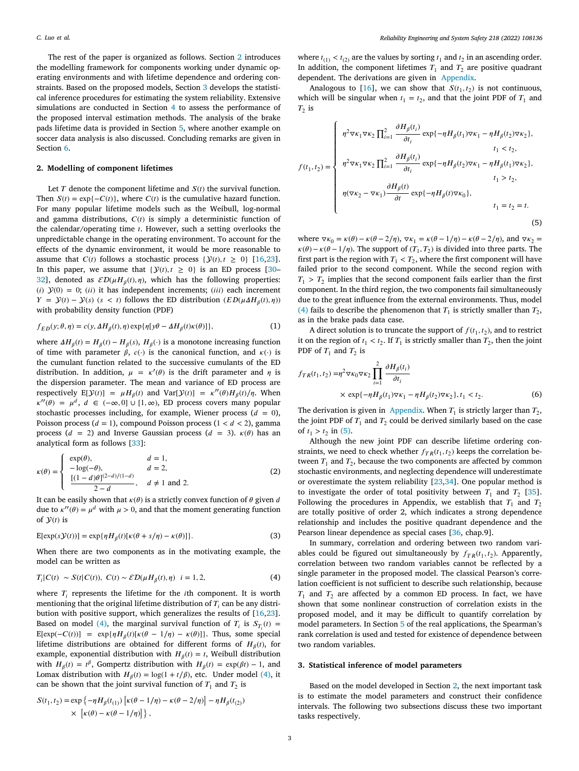The rest of the paper is organized as follows. Section [2](#page-2-0) introduces the modelling framework for components working under dynamic operating environments and with lifetime dependence and ordering constraints. Based on the proposed models, Section [3](#page-2-1) develops the statistical inference procedures for estimating the system reliability. Extensive simulations are conducted in Section [4](#page-3-0) to assess the performance of the proposed interval estimation methods. The analysis of the brake pads lifetime data is provided in Section [5,](#page-4-0) where another example on soccer data analysis is also discussed. Concluding remarks are given in Section [6](#page-6-0).

#### **2. Modelling of component lifetimes**

<span id="page-2-0"></span>Let  $T$  denote the component lifetime and  $S(t)$  the survival function. Then  $S(t) = \exp\{-C(t)\}\$ , where  $C(t)$  is the cumulative hazard function. For many popular lifetime models such as the Weibull, log-normal and gamma distributions,  $C(t)$  is simply a deterministic function of the calendar/operating time  $t$ . However, such a setting overlooks the unpredictable change in the operating environment. To account for the effects of the dynamic environment, it would be more reasonable to assume that  $C(t)$  follows a stochastic process  $\{Y(t), t \geq 0\}$  [[16,](#page-8-14)[23](#page-8-20)]. In this paper, we assume that  $\{y(t), t \geq 0\}$  is an ED process [[30–](#page-8-25) [32\]](#page-8-26), denoted as  $\mathcal{ED}(\mu H_\beta(t), \eta)$ , which has the following properties: (i)  $\mathcal{Y}(0) = 0$ ; (ii) it has independent increments; (iii) each increment  $Y = Y(t) - Y(s)$  ( $s < t$ ) follows the ED distribution ( $ED(\mu \Delta H_\beta(t), \eta)$ ) with probability density function (PDF)

$$
f_{ED}(y; \theta, \eta) = c(y, \Delta H_{\beta}(t), \eta) \exp{\{\eta[y\theta - \Delta H_{\beta}(t)\kappa(\theta)]\}},
$$
\n(1)

where  $\Delta H_{\beta}(t) = H_{\beta}(t) - H_{\beta}(s), H_{\beta}(\cdot)$  is a monotone increasing function of time with parameter  $\beta$ ,  $c(\cdot)$  is the canonical function, and  $\kappa(\cdot)$  is the cumulant function related to the successive cumulants of the ED distribution. In addition,  $\mu = \kappa'(\theta)$  is the drift parameter and  $\eta$  is the dispersion parameter. The mean and variance of ED process are respectively  $E[\mathcal{Y}(t)] = \mu H_\beta(t)$  and  $Var[\mathcal{Y}(t)] = \kappa''(\theta)H_\beta(t)/\eta$ . When  $\kappa''(\theta) = \mu^d$ ,  $d \in (-\infty, 0] \cup [1, \infty)$ , ED process covers many popular stochastic processes including, for example, Wiener process  $(d = 0)$ , Poisson process  $(d = 1)$ , compound Poisson process  $(1 < d < 2)$ , gamma process ( $d = 2$ ) and Inverse Gaussian process ( $d = 3$ ).  $\kappa(\theta)$  has an analytical form as follows [[33\]](#page-8-27):

$$
\kappa(\theta) = \begin{cases}\n\exp(\theta), & d = 1, \\
-\log(-\theta), & d = 2, \\
\frac{[(1-d)\theta]^{(2-d)/(1-d)}}{2-d}, & d \neq 1 \text{ and } 2.\n\end{cases}
$$
\n(2)

It can be easily shown that  $\kappa(\theta)$  is a strictly convex function of  $\theta$  given  $d$ due to  $\kappa''(\theta) = \mu^d$  with  $\mu > 0$ , and that the moment generating function of  $\mathcal{Y}(t)$  is

$$
E[\exp(s\mathcal{Y}(t))] = \exp\{\eta H_{\beta}(t)[\kappa(\theta + s/\eta) - \kappa(\theta)]\}.
$$
\n(3)

When there are two components as in the motivating example, the model can be written as

$$
T_i|C(t) \sim S(t|C(t)), \ C(t) \sim \mathcal{ED}(\mu H_\beta(t), \eta) \quad i = 1, 2,
$$
 (4)

where  $T_i$  represents the lifetime for the *i*th component. It is worth mentioning that the original lifetime distribution of  $T_i$  can be any distribution with positive support, which generalizes the results of [[16,](#page-8-14)[23\]](#page-8-20). Based on model [\(4\)](#page-2-2), the marginal survival function of  $T_i$  is  $S_{T_i}(t) =$  $E[\exp(-C(t))] = \exp{\{\eta H_\beta(t)[\kappa(\theta - 1/\eta) - \kappa(\theta)]\}}$ . Thus, some special lifetime distributions are obtained for different forms of  $H_\beta(t)$ , for example, exponential distribution with  $H_{\beta}(t) = t$ , Weibull distribution with  $H_{\beta}(t) = t^{\beta}$ , Gompertz distribution with  $H_{\beta}(t) = \exp(\beta t) - 1$ , and Lomax distribution with  $H_{\beta}(t) = \log(1 + t/\beta)$ , etc. Under model ([4\)](#page-2-2), it can be shown that the joint survival function of  $T_1$  and  $T_2$  is

$$
S(t_1, t_2) = \exp \left\{-\eta H_\beta(t_{(1)}) \left[ \kappa(\theta - 1/\eta) - \kappa(\theta - 2/\eta) \right] - \eta H_\beta(t_{(2)}) \right\}
$$
  
 
$$
\times \left[ \kappa(\theta) - \kappa(\theta - 1/\eta) \right] \},
$$

where  $t_{(1)} < t_{(2)}$  are the values by sorting  $t_1$  and  $t_2$  in an ascending order. In addition, the component lifetimes  $T_1$  and  $T_2$  are positive quadrant dependent. The derivations are given in [Appendix.](#page-7-0)

Analogous to [\[16](#page-8-14)], we can show that  $S(t_1, t_2)$  is not continuous, which will be singular when  $t_1 = t_2$ , and that the joint PDF of  $T_1$  and  $T_2$  is

$$
f(t_1, t_2) = \begin{cases} \eta^2 \nabla \kappa_1 \nabla \kappa_2 \prod_{i=1}^2 \frac{\partial H_\beta(t_i)}{\partial t_i} \exp\{-\eta H_\beta(t_1) \nabla \kappa_1 - \eta H_\beta(t_2) \nabla \kappa_2\}, & t_1 < t_2, \\ \eta^2 \nabla \kappa_1 \nabla \kappa_2 \prod_{i=1}^2 \frac{\partial H_\beta(t_i)}{\partial t_i} \exp\{-\eta H_\beta(t_2) \nabla \kappa_1 - \eta H_\beta(t_1) \nabla \kappa_2\}, & t_1 > t_2, \\ \eta(\nabla \kappa_2 - \nabla \kappa_1) \frac{\partial H_\beta(t)}{\partial t} \exp\{-\eta H_\beta(t) \nabla \kappa_0\}, & t_1 = t_2 = t. \end{cases}
$$
(5)

<span id="page-2-3"></span>where  $\nabla \kappa_0 = \kappa(\theta) - \kappa(\theta - 2/\eta)$ ,  $\nabla \kappa_1 = \kappa(\theta - 1/\eta) - \kappa(\theta - 2/\eta)$ , and  $\nabla \kappa_2 =$  $\kappa(\theta) - \kappa(\theta - 1/\eta)$ . The support of  $(T_1, T_2)$  is divided into three parts. The first part is the region with  $T_1 < T_2$ , where the first component will have failed prior to the second component. While the second region with  $T_1 > T_2$  implies that the second component fails earlier than the first component. In the third region, the two components fail simultaneously due to the great influence from the external environments. Thus, model ([4](#page-2-2)) fails to describe the phenomenon that  $T_1$  is strictly smaller than  $T_2$ , as in the brake pads data case.

A direct solution is to truncate the support of  $f(t_1, t_2)$ , and to restrict it on the region of  $t_1 < t_2$ . If  $T_1$  is strictly smaller than  $T_2$ , then the joint PDF of  $T_1$  and  $T_2$  is

$$
f_{TR}(t_1, t_2) = \eta^2 \nabla \kappa_0 \nabla \kappa_2 \prod_{i=1}^2 \frac{\partial H_\beta(t_i)}{\partial t_i}
$$
  
 
$$
\times \exp\{-\eta H_\beta(t_1) \nabla \kappa_1 - \eta H_\beta(t_2) \nabla \kappa_2\}, t_1 < t_2.
$$
 (6)

<span id="page-2-4"></span>The derivation is given in [Appendix.](#page-7-0) When  $T_1$  is strictly larger than  $T_2$ , the joint PDF of  $T_1$  and  $T_2$  could be derived similarly based on the case of  $t_1 > t_2$  in [\(5\)](#page-2-3).

Although the new joint PDF can describe lifetime ordering constraints, we need to check whether  $f_{TR}(t_1, t_2)$  keeps the correlation between  $T_1$  and  $T_2$ , because the two components are affected by common stochastic environments, and neglecting dependence will underestimate or overestimate the system reliability [[23](#page-8-20),[34\]](#page-8-28). One popular method is to investigate the order of total positivity between  $T_1$  and  $T_2$  [\[35](#page-8-29)]. Following the procedures in Appendix, we establish that  $T_1$  and  $T_2$ are totally positive of order 2, which indicates a strong dependence relationship and includes the positive quadrant dependence and the Pearson linear dependence as special cases [\[36,](#page-8-30) chap.9].

<span id="page-2-5"></span><span id="page-2-2"></span>In summary, correlation and ordering between two random variables could be figured out simultaneously by  $f_{TR}(t_1, t_2)$ . Apparently, correlation between two random variables cannot be reflected by a single parameter in the proposed model. The classical Pearson's correlation coefficient is not sufficient to describe such relationship, because  $T_1$  and  $T_2$  are affected by a common ED process. In fact, we have shown that some nonlinear construction of correlation exists in the proposed model, and it may be difficult to quantify correlation by model parameters. In Section [5](#page-4-0) of the real applications, the Spearman's rank correlation is used and tested for existence of dependence between two random variables.

## **3. Statistical inference of model parameters**

<span id="page-2-1"></span>Based on the model developed in Section [2](#page-2-0), the next important task is to estimate the model parameters and construct their confidence intervals. The following two subsections discuss these two important tasks respectively.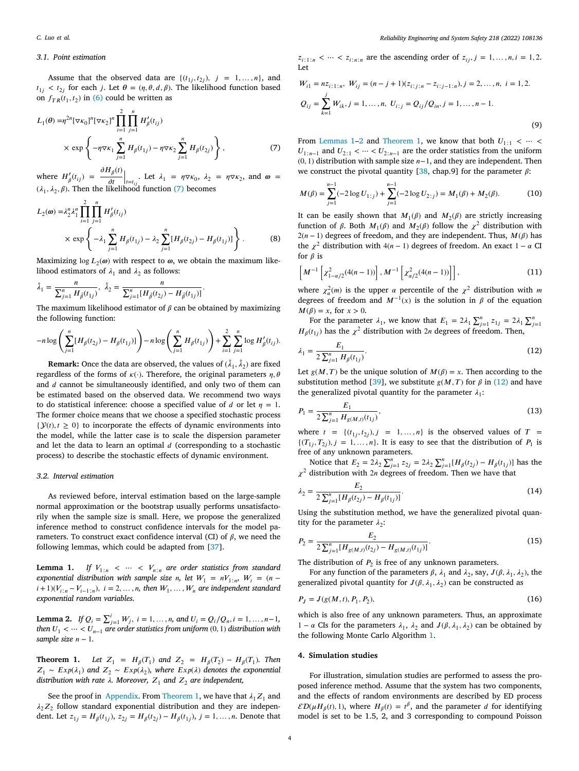#### *3.1. Point estimation*

Assume that the observed data are  $\{(t_{1j}, t_{2j}), j = 1, \ldots, n\}$ , and  $t_{1j} < t_{2j}$  for each *j*. Let  $\theta = (\eta, \theta, d, \beta)$ . The likelihood function based on  $f_{TR}(t_1, t_2)$  in ([6\)](#page-2-4) could be written as

$$
L_1(\theta) = \eta^{2n} [\nabla \kappa_0]^n [\nabla \kappa_2]^n \prod_{i=1}^2 \prod_{j=1}^n H'_\beta(t_{ij})
$$
  
 
$$
\times \exp \left\{-\eta \nabla \kappa_1 \sum_{j=1}^n H_\beta(t_{1j}) - \eta \nabla \kappa_2 \sum_{j=1}^n H_\beta(t_{2j})\right\},
$$
 (7)

where  $H'_{\beta}(t_{ij}) = \frac{\partial H_{\beta}(t)}{\partial t}$  $\partial t$ Let  $\lambda_1 = \eta \nabla \kappa_0$ ,  $\lambda_2 = \eta \nabla \kappa_2$ , and  $\omega =$  $(\lambda_1, \lambda_2, \beta)$ . Then the likelihood function ([7](#page-3-1)) becomes

$$
L_2(\omega) = \lambda_2^n \lambda_1^n \prod_{i=1}^2 \prod_{j=1}^n H'_\beta(t_{ij})
$$
  
 
$$
\times \exp \left\{ -\lambda_1 \sum_{j=1}^n H_\beta(t_{1j}) - \lambda_2 \sum_{j=1}^n [H_\beta(t_{2j}) - H_\beta(t_{1j})] \right\}.
$$
 (8)

Maximizing  $\log L_2(\omega)$  with respect to  $\omega$ , we obtain the maximum likelihood estimators of  $\lambda_1$  and  $\lambda_2$  as follows:

$$
\hat{\lambda}_1 = \frac{n}{\sum_{j=1}^n H_{\hat{\beta}}(t_{1j})}, \ \hat{\lambda}_2 = \frac{n}{\sum_{j=1}^n [H_{\hat{\beta}}(t_{2j}) - H_{\hat{\beta}}(t_{1j})]}.
$$

The maximum likelihood estimator of  $\beta$  can be obtained by maximizing the following function:

$$
-n\log\left(\sum_{j=1}^n [H_\beta(t_{2j}) - H_\beta(t_{1j})]\right) - n\log\left(\sum_{j=1}^n H_\beta(t_{1j})\right) + \sum_{i=1}^2 \sum_{j=1}^n \log H'_\beta(t_{ij}).
$$

**Remark:** Once the data are observed, the values of  $(\hat{\lambda}_1, \hat{\lambda}_2)$  are fixed regardless of the forms of  $\kappa(\cdot)$ . Therefore, the original parameters  $\eta$ ,  $\theta$ and  $d$  cannot be simultaneously identified, and only two of them can be estimated based on the observed data. We recommend two ways to do statistical inference: choose a specified value of d or let  $\eta = 1$ . The former choice means that we choose a specified stochastic process  $\{\mathcal{Y}(t), t \geq 0\}$  to incorporate the effects of dynamic environments into the model, while the latter case is to scale the dispersion parameter and let the data to learn an optimal  $d$  (corresponding to a stochastic process) to describe the stochastic effects of dynamic environment.

# *3.2. Interval estimation*

As reviewed before, interval estimation based on the large-sample normal approximation or the bootstrap usually performs unsatisfactorily when the sample size is small. Here, we propose the generalized inference method to construct confidence intervals for the model parameters. To construct exact confidence interval (CI) of  $\beta$ , we need the following lemmas, which could be adapted from [\[37](#page-8-31)].

**Lemma 1.** *If*  $V_{1:n} < \cdots < V_{n:n}$  are order statistics from standard *exponential distribution with sample size n*, let  $W_1 = nV_{1:n}$ ,  $W_i = (n - 1)$  $(i+1)(V_{i:n}-V_{i-1:n}), i=2,\ldots,n$ , then  $W_1,\ldots,W_n$  are independent standard *exponential random variables.*

<span id="page-3-4"></span>**Lemma 2.** *If*  $Q_i = \sum_{j=1}^i W_j$ ,  $i = 1, ..., n$ , and  $U_i = Q_i/Q_n$ ,  $i = 1, ..., n-1$ , *then*  $U_1$  <  $\cdots$  <  $U_{n-1}$  *are order statistics from uniform* (0, 1) *distribution with sample size*  $n - 1$ .

<span id="page-3-2"></span>**Theorem 1.** Let  $Z_1 = H_\beta(T_1)$  and  $Z_2 = H_\beta(T_2) - H_\beta(T_1)$ . Then  $Z_1$  ~  $Exp(\lambda_1)$  and  $Z_2$  ~  $Exp(\lambda_2)$ , where  $Exp(\lambda)$  denotes the exponential *distribution with rate*  $\lambda$ . Moreover,  $Z_1$  and  $Z_2$  are independent,

See the proof in [Appendix](#page-7-0). From [Theorem](#page-3-2) [1,](#page-3-2) we have that  $\lambda_1 Z_1$  and  $\lambda_2 Z_2$  follow standard exponential distribution and they are independent. Let  $z_{1j} = H_{\beta}(t_{1j}), z_{2j} = H_{\beta}(t_{2j}) - H_{\beta}(t_{1j}), j = 1, ..., n$ . Denote that

 $z_{i1:n} < \cdots < z_{i:n:n}$  are the ascending order of  $z_{ij}, j = 1, ..., n, i = 1, 2$ . Let

$$
W_{i1} = nz_{i:1:n}, W_{ij} = (n-j+1)(z_{i:j:n} - z_{i:j-1:n}), j = 2, ..., n, i = 1, 2.
$$
  

$$
Q_{ij} = \sum_{k=1}^{j} W_{ik}, j = 1, ..., n, U_{i:j} = Q_{ij}/Q_{in}, j = 1, ..., n-1.
$$
  
(9)

<span id="page-3-1"></span>From [Lemmas](#page-3-3) [1](#page-3-2)[–2](#page-3-4) and [Theorem](#page-3-2) 1, we know that both  $U_{1:1} < \cdots <$  $U_{1:n-1}$  and  $U_{2:1}$  *< ··· <*  $U_{2:n-1}$  are the order statistics from the uniform  $(0, 1)$  distribution with sample size  $n-1$ , and they are independent. Then we construct the pivotal quantity [\[38](#page-8-32), chap.9] for the parameter  $\beta$ :

$$
M(\beta) = \sum_{j=1}^{n-1} (-2\log U_{1:j}) + \sum_{j=1}^{n-1} (-2\log U_{2:j}) = M_1(\beta) + M_2(\beta).
$$
 (10)

It can be easily shown that  $M_1(\beta)$  and  $M_2(\beta)$  are strictly increasing function of  $\beta$ . Both  $M_1(\beta)$  and  $M_2(\beta)$  follow the  $\chi^2$  distribution with  $2(n - 1)$  degrees of freedom, and they are independent. Thus,  $M(\beta)$  has the  $\chi^2$  distribution with 4(n – 1) degrees of freedom. An exact 1 –  $\alpha$  Cl for  $\beta$  is

$$
\left[M^{-1}\left[\chi_{1-\alpha/2}^2(4(n-1))\right], M^{-1}\left[\chi_{\alpha/2}^2(4(n-1))\right]\right],\tag{11}
$$

where  $\chi^2_{\alpha}(m)$  is the upper  $\alpha$  percentile of the  $\chi^2$  distribution with m degrees of freedom and  $M^{-1}(x)$  is the solution in  $\beta$  of the equation  $M(\beta) = x$ , for  $x > 0$ .

For the parameter  $\lambda_1$ , we know that  $E_1 = 2\lambda_1 \sum_{j=1}^n z_{1j} = 2\lambda_1 \sum_{j=1}^n z_{1j}$  $H_{\beta}(t_{1j})$  has the  $\chi^2$  distribution with 2*n* degrees of freedom. Then,

<span id="page-3-5"></span>
$$
\lambda_1 = \frac{E_1}{2 \sum_{j=1}^n H_\beta(t_{1j})}.\tag{12}
$$

Let  $g(M, T)$  be the unique solution of  $M(\beta) = x$ . Then according to the substitution method [\[39](#page-8-33)], we substitute  $g(M, T)$  for  $\beta$  in [\(12\)](#page-3-5) and have the generalized pivotal quantity for the parameter  $\lambda_1$ :

<span id="page-3-6"></span>
$$
P_1 = \frac{E_1}{2\sum_{j=1}^n H_{g(M,t)}(t_{1j})},\tag{13}
$$

where  $t = \{(t_{1j}, t_{2j}), j = 1, \ldots, n\}$  is the observed values of  $T =$  $\{(T_{1j}, T_{2j}), j = 1, \ldots, n\}$ . It is easy to see that the distribution of  $P_1$  is free of any unknown parameters.

Notice that  $E_2 = 2\lambda_2 \sum_{j=1}^{n} z_{2j} = 2\lambda_2 \sum_{j=1}^{n} [H_\beta(t_{2j}) - H_\beta(t_{1j})]$  has the  $\chi^2$  distribution with 2n degrees of freedom. Then we have that

$$
\lambda_2 = \frac{E_2}{2\sum_{j=1}^n [H_\beta(t_{2j}) - H_\beta(t_{1j})]}.
$$
\n(14)

Using the substitution method, we have the generalized pivotal quantity for the parameter  $\lambda_2$ :

<span id="page-3-3"></span>
$$
P_2 = \frac{E_2}{2\sum_{j=1}^n [H_{g(M,t)}(t_{2j}) - H_{g(M,t)}(t_{1j})]}.
$$
\n(15)

<span id="page-3-7"></span>The distribution of  $P_2$  is free of any unknown parameters.

For any function of the parameters  $\beta$ ,  $\lambda_1$  and  $\lambda_2$ , say,  $J(\beta, \lambda_1, \lambda_2)$ , the generalized pivotal quantity for  $J(\beta, \lambda_1, \lambda_2)$  can be constructed as

<span id="page-3-8"></span>
$$
P_J = J(g(M, t), P_1, P_2),\tag{16}
$$

which is also free of any unknown parameters. Thus, an approximate 1 − *α* CIs for the parameters  $\lambda_1$ ,  $\lambda_2$  and  $J(\beta, \lambda_1, \lambda_2)$  can be obtained by the following Monte Carlo Algorithm [1.](#page-4-1)

#### **4. Simulation studies**

<span id="page-3-0"></span>For illustration, simulation studies are performed to assess the proposed inference method. Assume that the system has two components, and the effects of random environments are described by ED process  $\mathcal{ED}(\mu H_\beta(t), 1)$ , where  $H_\beta(t) = t^\beta$ , and the parameter d for identifying model is set to be 1.5, 2, and 3 corresponding to compound Poisson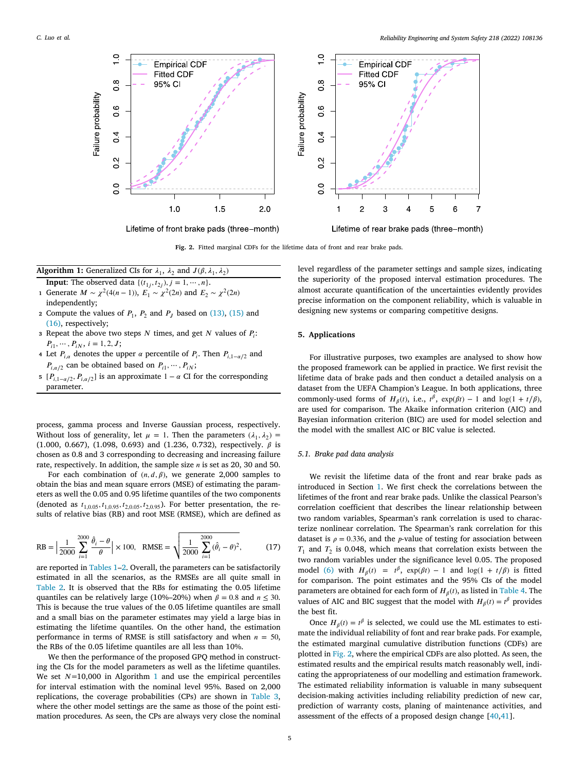

**Fig. 2.** Fitted marginal CDFs for the lifetime data of front and rear brake pads.

<span id="page-4-2"></span>Algorithm 1: Generalized CIs for  $\lambda_1$ ,  $\lambda_2$  and  $J(\beta, \lambda_1, \lambda_2)$ 

- <span id="page-4-1"></span>**Input:** The observed data  $\{(t_{1j}, t_{2j}), j = 1, \dots, n\}.$ **1** Generate *M* ∼  $\chi^2(4(n-1))$ ,  $E_1 \sim \chi^2(2n)$  and  $E_2 \sim \chi^2(2n)$ independently;
- 2 Compute the values of  $P_1$ ,  $P_2$  and  $P_J$  based on  $(13)$  $(13)$ ,  $(15)$  $(15)$  and ([16\)](#page-3-8), respectively;
- **3** Repeat the above two steps  $N$  times, and get  $N$  values of  $P_i$ :  $P_{i1}, \cdots, P_{iN}, i = 1, 2, J;$
- **4** Let  $P_{i,\alpha}$  denotes the upper  $\alpha$  percentile of  $P_i$ . Then  $P_{i,1-\alpha/2}$  and  $P_{i,\alpha/2}$  can be obtained based on  $P_{i1}, \dots, P_{iN}$ ;
- **5** [ $P_{i,1-\alpha/2}$ ,  $P_{i,\alpha/2}$ ] is an approximate 1 −  $\alpha$  CI for the corresponding parameter.

process, gamma process and Inverse Gaussian process, respectively. Without loss of generality, let  $\mu = 1$ . Then the parameters  $(\lambda_1, \lambda_2)$ (1.000, 0.667), (1.098, 0.693) and (1.236, 0.732), respectively.  $\beta$  is chosen as 0.8 and 3 corresponding to decreasing and increasing failure rate, respectively. In addition, the sample size  $n$  is set as 20, 30 and 50.

For each combination of  $(n, d, \beta)$ , we generate 2,000 samples to obtain the bias and mean square errors (MSE) of estimating the parameters as well the 0.05 and 0.95 lifetime quantiles of the two components (denoted as  $t_{1,0.05}$ ,  $t_{1,0.95}$ ,  $t_{2,0.05}$ ,  $t_{2,0.95}$ ). For better presentation, the results of relative bias (RB) and root MSE (RMSE), which are defined as

$$
RB = \left| \frac{1}{2000} \sum_{i=1}^{2000} \frac{\hat{\theta}_i - \theta}{\theta} \right| \times 100, \quad RMSE = \sqrt{\frac{1}{2000} \sum_{i=1}^{2000} (\hat{\theta}_i - \theta)^2},
$$
(17)

are reported in [Tables](#page-5-0) [1](#page-5-0)[–2.](#page-5-1) Overall, the parameters can be satisfactorily estimated in all the scenarios, as the RMSEs are all quite small in [Table](#page-5-1) [2](#page-5-1). It is observed that the RBs for estimating the 0.05 lifetime quantiles can be relatively large (10%–20%) when  $\beta = 0.8$  and  $n \le 30$ . This is because the true values of the 0.05 lifetime quantiles are small and a small bias on the parameter estimates may yield a large bias in estimating the lifetime quantiles. On the other hand, the estimation performance in terms of RMSE is still satisfactory and when  $n = 50$ , the RBs of the 0.05 lifetime quantiles are all less than 10%.

We then the performance of the proposed GPQ method in constructing the CIs for the model parameters as well as the lifetime quantiles. We set  $N=10,000$  $N=10,000$  $N=10,000$  in Algorithm 1 and use the empirical percentiles for interval estimation with the nominal level 95%. Based on 2,000 replications, the coverage probabilities (CPs) are shown in [Table](#page-6-1) [3](#page-6-1), where the other model settings are the same as those of the point estimation procedures. As seen, the CPs are always very close the nominal

level regardless of the parameter settings and sample sizes, indicating the superiority of the proposed interval estimation procedures. The almost accurate quantification of the uncertainties evidently provides precise information on the component reliability, which is valuable in designing new systems or comparing competitive designs.

# **5. Applications**

<span id="page-4-0"></span>For illustrative purposes, two examples are analysed to show how the proposed framework can be applied in practice. We first revisit the lifetime data of brake pads and then conduct a detailed analysis on a dataset from the UEFA Champion's League. In both applications, three commonly-used forms of  $H_\beta(t)$ , i.e.,  $t^\beta$ ,  $\exp(\beta t) - 1$  and  $\log(1 + t/\beta)$ , are used for comparison. The Akaike information criterion (AIC) and Bayesian information criterion (BIC) are used for model selection and the model with the smallest AIC or BIC value is selected.

#### *5.1. Brake pad data analysis*

We revisit the lifetime data of the front and rear brake pads as introduced in Section [1](#page-0-5). We first check the correlations between the lifetimes of the front and rear brake pads. Unlike the classical Pearson's correlation coefficient that describes the linear relationship between two random variables, Spearman's rank correlation is used to characterize nonlinear correlation. The Spearman's rank correlation for this dataset is  $\rho = 0.336$ , and the *p*-value of testing for association between  $T_1$  and  $T_2$  is 0.048, which means that correlation exists between the two random variables under the significance level 0.05. The proposed model [\(6\)](#page-2-4) with  $H_{\beta}(t) = t^{\beta}$ ,  $\exp(\beta t) - 1$  and  $\log(1 + t/\beta)$  is fitted for comparison. The point estimates and the 95% CIs of the model parameters are obtained for each form of  $H_\beta(t)$ , as listed in [Table](#page-6-2) [4](#page-6-2). The values of AIC and BIC suggest that the model with  $H_\beta(t) = t^\beta$  provides the best fit.

Once  $H_\beta(t) = t^\beta$  is selected, we could use the ML estimates to estimate the individual reliability of font and rear brake pads. For example, the estimated marginal cumulative distribution functions (CDFs) are plotted in [Fig.](#page-4-2) [2,](#page-4-2) where the empirical CDFs are also plotted. As seen, the estimated results and the empirical results match reasonably well, indicating the appropriateness of our modelling and estimation framework. The estimated reliability information is valuable in many subsequent decision-making activities including reliability prediction of new car, prediction of warranty costs, planing of maintenance activities, and assessment of the effects of a proposed design change [[40,](#page-8-34)[41](#page-8-35)].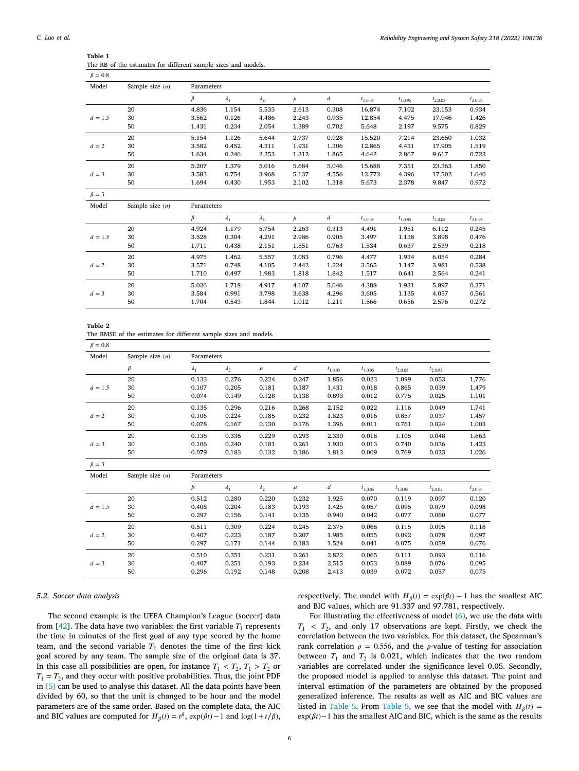|  |  | Reliability Engineering and System Safety 218 (2022) 108136 |  |  |  |
|--|--|-------------------------------------------------------------|--|--|--|
|--|--|-------------------------------------------------------------|--|--|--|

| $\beta = 0.8$ |                   |            |             |             |       |                  |              |              |              |              |
|---------------|-------------------|------------|-------------|-------------|-------|------------------|--------------|--------------|--------------|--------------|
| Model         | Sample size $(n)$ | Parameters |             |             |       |                  |              |              |              |              |
|               |                   | $\beta$    | $\lambda_1$ | $\lambda_2$ | $\mu$ | d                | $t_{1,0.05}$ | $t_{1,0.95}$ | $t_{2,0.05}$ | $t_{2,0.95}$ |
|               | 20                | 4.836      | 1.154       | 5.533       | 2.613 | 0.308            | 16.874       | 7.102        | 23.153       | 0.934        |
| $d = 1.5$     | 30                | 3.562      | 0.126       | 4.486       | 2.243 | 0.935            | 12.854       | 4.475        | 17.946       | 1.426        |
|               | 50                | 1.431      | 0.234       | 2.054       | 1.389 | 0.702            | 5.648        | 2.197        | 9.575        | 0.829        |
|               | 20                | 5.154      | 1.126       | 5.644       | 2.737 | 0.928            | 15.520       | 7.214        | 23.650       | 1.032        |
| $d=2$         | 30                | 3.582      | 0.452       | 4.311       | 1.931 | 1.306            | 12.865       | 4.431        | 17.905       | 1.519        |
|               | 50                | 1.634      | 0.246       | 2.253       | 1.312 | 1.865            | 4.642        | 2.867        | 9.617        | 0.723        |
|               | 20                | 5.207      | 1.379       | 5.016       | 5.684 | 5.046            | 15.688       | 7.351        | 23.363       | 1.850        |
| $d = 3$       | 30                | 3.583      | 0.754       | 3.968       | 5.137 | 4.556            | 12.772       | 4.396        | 17.502       | 1.640        |
|               | 50                | 1.694      | 0.430       | 1.953       | 2.102 | 1.318            | 5.673        | 2.378        | 9.847        | 0.972        |
| $\beta = 3$   |                   |            |             |             |       |                  |              |              |              |              |
| Model         | Sample size $(n)$ | Parameters |             |             |       |                  |              |              |              |              |
|               |                   | $\beta$    | $\lambda_1$ | $\lambda_2$ | $\mu$ | $\boldsymbol{d}$ | $t_{1,0.05}$ | $t_{1,0.95}$ | $t_{2,0.05}$ | $t_{2,0.95}$ |
|               | 20                | 4.924      | 1.179       | 5.754       | 2.263 | 0.313            | 4.491        | 1.951        | 6.112        | 0.245        |
| $d = 1.5$     | 30                | 3.528      | 0.304       | 4.291       | 2.986 | 0.905            | 3.497        | 1.138        | 3.898        | 0.476        |
|               | 50                | 1.711      | 0.438       | 2.151       | 1.551 | 0.763            | 1.534        | 0.637        | 2.539        | 0.218        |
|               | 20                | 4.975      | 1.462       | 5.557       | 3.083 | 0.796            | 4.477        | 1.934        | 6.054        | 0.284        |
| $d=2$         | 30                | 3.571      | 0.748       | 4.105       | 2.442 | 1.224            | 3.565        | 1.147        | 3.981        | 0.538        |
|               | 50                | 1.710      | 0.497       | 1.983       | 1.818 | 1.842            | 1.517        | 0.641        | 2.564        | 0.241        |
|               | 20                | 5.026      | 1.718       | 4.917       | 4.107 | 5.046            | 4.388        | 1.931        | 5.897        | 0.371        |
| $d = 3$       | 30                | 3.584      | 0.991       | 3.798       | 3.638 | 4.296            | 3.605        | 1.135        | 4.057        | 0.561        |
|               | 50                | 1.704      | 0.543       | 1.844       | 1.012 | 1.211            | 1.566        | 0.656        | 2.576        | 0.272        |

<span id="page-5-0"></span>

| Table 1 |  |                                                                |  |  |  |
|---------|--|----------------------------------------------------------------|--|--|--|
|         |  | The RB of the estimates for different sample sizes and models. |  |  |  |
|         |  |                                                                |  |  |  |

**Table 2**

|  |  |  |  | The RMSE of the estimates for different sample sizes and models. |  |  |  |  |  |  |
|--|--|--|--|------------------------------------------------------------------|--|--|--|--|--|--|
|--|--|--|--|------------------------------------------------------------------|--|--|--|--|--|--|

<span id="page-5-1"></span>

| Model       | Sample size $(n)$ | Parameters        |             |       |       |              |              |              |              |       |
|-------------|-------------------|-------------------|-------------|-------|-------|--------------|--------------|--------------|--------------|-------|
|             | $\beta$           | $\lambda_1$       | $\lambda_2$ | $\mu$ | d     | $I_{1,0.05}$ | $I_{1,0.95}$ | $t_{2,0.05}$ | $t_{2,0.95}$ |       |
|             | 20                | 0.133             | 0.276       | 0.224 | 0.247 | 1.856        | 0.023        | 1.099        | 0.053        | 1.776 |
| $d = 1.5$   | 30                | 0.107             | 0.205       | 0.181 | 0.187 | 1.431        | 0.018        | 0.865        | 0.039        | 1.479 |
|             | 50                | 0.074             | 0.149       | 0.128 | 0.138 | 0.893        | 0.012        | 0.775        | 0.025        | 1.101 |
|             | 20                | 0.135             | 0.296       | 0.216 | 0.268 | 2.152        | 0.022        | 1.116        | 0.049        | 1.741 |
| $d=2$       | 30                | 0.106             | 0.224       | 0.185 | 0.232 | 1.823        | 0.016        | 0.857        | 0.037        | 1.457 |
|             | 50                | 0.078             | 0.167       | 0.130 | 0.176 | 1.396        | 0.011        | 0.761        | 0.024        | 1.003 |
|             | 20                | 0.136             | 0.336       | 0.229 | 0.293 | 2.330        | 0.018        | 1.105        | 0.048        | 1.663 |
| $d=3$       | 30                | 0.106             | 0.240       | 0.181 | 0.261 | 1.930        | 0.013        | 0.740        | 0.036        | 1.423 |
|             | 50                | 0.079             | 0.183       | 0.132 | 0.186 | 1.813        | 0.009        | 0.769        | 0.023        | 1.026 |
| $\beta = 3$ |                   |                   |             |       |       |              |              |              |              |       |
| Modal       | $Comula$ $g(m)$   | <b>Dovomotors</b> |             |       |       |              |              |              |              |       |

| www       | $\alpha$ outpic $\alpha$ and $\alpha$ | 1 an ann ciùi <i>s</i> |             |             |       |       |              |              |              |              |
|-----------|---------------------------------------|------------------------|-------------|-------------|-------|-------|--------------|--------------|--------------|--------------|
|           |                                       | β                      | $\lambda_1$ | $\lambda_2$ | $\mu$ | d     | $t_{1,0.05}$ | $t_{1,0.95}$ | $t_{2,0.05}$ | $t_{2,0.95}$ |
|           | 20                                    | 0.512                  | 0.280       | 0.220       | 0.232 | 1.925 | 0.070        | 0.119        | 0.097        | 0.120        |
| $d = 1.5$ | 30                                    | 0.408                  | 0.204       | 0.183       | 0.193 | 1.425 | 0.057        | 0.095        | 0.079        | 0.098        |
|           | 50                                    | 0.297                  | 0.156       | 0.141       | 0.135 | 0.940 | 0.042        | 0.077        | 0.060        | 0.077        |
|           | 20                                    | 0.511                  | 0.309       | 0.224       | 0.245 | 2.375 | 0.068        | 0.115        | 0.095        | 0.118        |
| $d=2$     | 30                                    | 0.407                  | 0.223       | 0.187       | 0.207 | 1.985 | 0.055        | 0.092        | 0.078        | 0.097        |
|           | 50                                    | 0.297                  | 0.171       | 0.144       | 0.183 | 1.524 | 0.041        | 0.075        | 0.059        | 0.076        |
|           | 20                                    | 0.510                  | 0.351       | 0.231       | 0.261 | 2.822 | 0.065        | 0.111        | 0.093        | 0.116        |
| $d=3$     | 30                                    | 0.407                  | 0.251       | 0.193       | 0.234 | 2.515 | 0.053        | 0.089        | 0.076        | 0.095        |
|           | 50                                    | 0.296                  | 0.192       | 0.148       | 0.208 | 2.413 | 0.039        | 0.072        | 0.057        | 0.075        |
|           |                                       |                        |             |             |       |       |              |              |              |              |

## *5.2. Soccer data analysis*

The second example is the UEFA Champion's League (soccer) data from [\[42](#page-8-36)]. The data have two variables: the first variable  $T_1$  represents the time in minutes of the first goal of any type scored by the home team, and the second variable  $T<sub>2</sub>$  denotes the time of the first kick goal scored by any team. The sample size of the original data is 37. In this case all possibilities are open, for instance  $T_1 < T_2$ ,  $T_1 > T_2$  or  $T_1 = T_2$ , and they occur with positive probabilities. Thus, the joint PDF in ([5](#page-2-3)) can be used to analyse this dataset. All the data points have been divided by 60, so that the unit is changed to be hour and the model parameters are of the same order. Based on the complete data, the AIC and BIC values are computed for  $H_{\beta}(t) = t^{\beta}$ ,  $\exp(\beta t) - 1$  and  $\log(1 + t/\beta)$ ,

respectively. The model with  $H_{\beta}(t) = \exp(\beta t) - 1$  has the smallest AIC and BIC values, which are 91.337 and 97.781, respectively.

For illustrating the effectiveness of model [\(6\)](#page-2-4), we use the data with  $T_1$  <  $T_2$ , and only 17 observations are kept. Firstly, we check the correlation between the two variables. For this dataset, the Spearman's rank correlation  $\rho = 0.556$ , and the *p*-value of testing for association between  $T_1$  and  $T_2$  is 0.021, which indicates that the two random variables are correlated under the significance level 0.05. Secondly, the proposed model is applied to analyse this dataset. The point and interval estimation of the parameters are obtained by the proposed generalized inference. The results as well as AIC and BIC values are listed in [Table](#page-7-1) [5](#page-7-1). From Table [5,](#page-7-1) we see that the model with  $H_{\beta}(t) =$  $exp(\beta t)$ −1 has the smallest AIC and BIC, which is the same as the results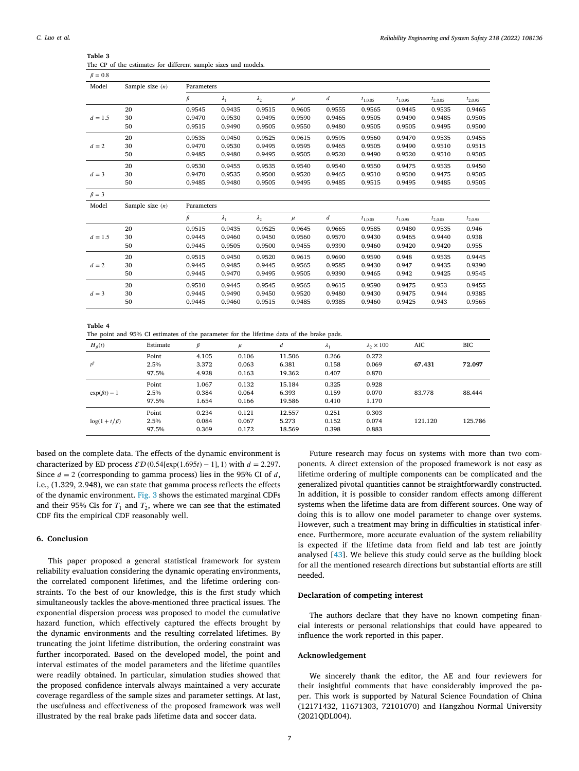|  | Reliability Engineering and System Safety 218 (2022) 108136 |  |  |  |  |  |
|--|-------------------------------------------------------------|--|--|--|--|--|
|--|-------------------------------------------------------------|--|--|--|--|--|

| $\beta = 0.8$ |                   |            |             |             |        |                  |              |              |              |              |
|---------------|-------------------|------------|-------------|-------------|--------|------------------|--------------|--------------|--------------|--------------|
| Model         | Sample size $(n)$ | Parameters |             |             |        |                  |              |              |              |              |
|               |                   | $\beta$    | $\lambda_1$ | $\lambda_2$ | $\mu$  | $\boldsymbol{d}$ | $t_{1,0.05}$ | $t_{1,0.95}$ | $t_{2,0.05}$ | $t_{2,0.95}$ |
|               | 20                | 0.9545     | 0.9435      | 0.9515      | 0.9605 | 0.9555           | 0.9565       | 0.9445       | 0.9535       | 0.9465       |
| $d = 1.5$     | 30                | 0.9470     | 0.9530      | 0.9495      | 0.9590 | 0.9465           | 0.9505       | 0.9490       | 0.9485       | 0.9505       |
|               | 50                | 0.9515     | 0.9490      | 0.9505      | 0.9550 | 0.9480           | 0.9505       | 0.9505       | 0.9495       | 0.9500       |
|               | 20                | 0.9535     | 0.9450      | 0.9525      | 0.9615 | 0.9595           | 0.9560       | 0.9470       | 0.9535       | 0.9455       |
| $d=2$         | 30                | 0.9470     | 0.9530      | 0.9495      | 0.9595 | 0.9465           | 0.9505       | 0.9490       | 0.9510       | 0.9515       |
|               | 50                | 0.9485     | 0.9480      | 0.9495      | 0.9505 | 0.9520           | 0.9490       | 0.9520       | 0.9510       | 0.9505       |
|               | 20                | 0.9530     | 0.9455      | 0.9535      | 0.9540 | 0.9540           | 0.9550       | 0.9475       | 0.9535       | 0.9450       |
| $d = 3$       | 30                | 0.9470     | 0.9535      | 0.9500      | 0.9520 | 0.9465           | 0.9510       | 0.9500       | 0.9475       | 0.9505       |
|               | 50                | 0.9485     | 0.9480      | 0.9505      | 0.9495 | 0.9485           | 0.9515       | 0.9495       | 0.9485       | 0.9505       |
| $\beta = 3$   |                   |            |             |             |        |                  |              |              |              |              |
| Model         | Sample size $(n)$ | Parameters |             |             |        |                  |              |              |              |              |
|               |                   | $\beta$    | $\lambda_1$ | $\lambda_2$ | $\mu$  | d                | $t_{1,0.05}$ | $t_{1,0.95}$ | $t_{2,0.05}$ | $t_{2,0.95}$ |
|               | 20                | 0.9515     | 0.9435      | 0.9525      | 0.9645 | 0.9665           | 0.9585       | 0.9480       | 0.9535       | 0.946        |
| $d = 1.5$     | 30                | 0.9445     | 0.9460      | 0.9450      | 0.9560 | 0.9570           | 0.9430       | 0.9465       | 0.9440       | 0.938        |
|               | 50                | 0.9445     | 0.9505      | 0.9500      | 0.9455 | 0.9390           | 0.9460       | 0.9420       | 0.9420       | 0.955        |
|               | 20                | 0.9515     | 0.9450      | 0.9520      | 0.9615 | 0.9690           | 0.9590       | 0.948        | 0.9535       | 0.9445       |
| $d=2$         | 30                | 0.9445     | 0.9485      | 0.9445      | 0.9565 | 0.9585           | 0.9430       | 0.947        | 0.9435       | 0.9390       |
|               | 50                | 0.9445     | 0.9470      | 0.9495      | 0.9505 | 0.9390           | 0.9465       | 0.942        | 0.9425       | 0.9545       |
|               | 20                | 0.9510     | 0.9445      | 0.9545      | 0.9565 | 0.9615           | 0.9590       | 0.9475       | 0.953        | 0.9455       |
| $d = 3$       | 30                | 0.9445     | 0.9490      | 0.9450      | 0.9520 | 0.9480           | 0.9430       | 0.9475       | 0.944        | 0.9385       |
|               | 50                | 0.9445     | 0.9460      | 0.9515      | 0.9485 | 0.9385           | 0.9460       | 0.9425       | 0.943        | 0.9565       |
|               |                   |            |             |             |        |                  |              |              |              |              |

<span id="page-6-1"></span>**Table 3** The CP of the estimates for different sample sizes and models.

**Table 4**

The point and 95% CI estimates of the parameter for the lifetime data of the brake pads.

<span id="page-6-2"></span>

| $\mathbf{r}$<br>$H_\beta(t)$ | Estimate | $\beta$ | $\mu$ | d      | $\lambda_1$ | $\lambda$ <sub>2</sub> $\times$ 100 | AIC     | <b>BIC</b> |
|------------------------------|----------|---------|-------|--------|-------------|-------------------------------------|---------|------------|
|                              | Point    | 4.105   | 0.106 | 11.506 | 0.266       | 0.272                               |         |            |
| $t^{\beta}$                  | 2.5%     | 3.372   | 0.063 | 6.381  | 0.158       | 0.069                               | 67.431  | 72.097     |
|                              | 97.5%    | 4.928   | 0.163 | 19.362 | 0.407       | 0.870                               |         |            |
|                              | Point    | 1.067   | 0.132 | 15.184 | 0.325       | 0.928                               |         |            |
| $\exp(\beta t) - 1$          | 2.5%     | 0.384   | 0.064 | 6.393  | 0.159       | 0.070                               | 83.778  | 88.444     |
|                              | 97.5%    | 1.654   | 0.166 | 19.586 | 0.410       | 1.170                               |         |            |
|                              | Point    | 0.234   | 0.121 | 12.557 | 0.251       | 0.303                               |         |            |
| $log(1 + t/\beta)$           | 2.5%     | 0.084   | 0.067 | 5.273  | 0.152       | 0.074                               | 121.120 | 125.786    |
|                              | 97.5%    | 0.369   | 0.172 | 18.569 | 0.398       | 0.883                               |         |            |

based on the complete data. The effects of the dynamic environment is characterized by ED process  $\mathcal{ED}(0.54[\exp(1.695t) - 1], 1)$  with  $d = 2.297$ . Since  $d = 2$  (corresponding to gamma process) lies in the 95% CI of d, i.e., (1.329, 2.948), we can state that gamma process reflects the effects of the dynamic environment. [Fig.](#page-7-2) [3](#page-7-2) shows the estimated marginal CDFs and their 95% CIs for  $T_1$  and  $T_2$ , where we can see that the estimated CDF fits the empirical CDF reasonably well.

#### **6. Conclusion**

<span id="page-6-0"></span>This paper proposed a general statistical framework for system reliability evaluation considering the dynamic operating environments, the correlated component lifetimes, and the lifetime ordering constraints. To the best of our knowledge, this is the first study which simultaneously tackles the above-mentioned three practical issues. The exponential dispersion process was proposed to model the cumulative hazard function, which effectively captured the effects brought by the dynamic environments and the resulting correlated lifetimes. By truncating the joint lifetime distribution, the ordering constraint was further incorporated. Based on the developed model, the point and interval estimates of the model parameters and the lifetime quantiles were readily obtained. In particular, simulation studies showed that the proposed confidence intervals always maintained a very accurate coverage regardless of the sample sizes and parameter settings. At last, the usefulness and effectiveness of the proposed framework was well illustrated by the real brake pads lifetime data and soccer data.

Future research may focus on systems with more than two components. A direct extension of the proposed framework is not easy as lifetime ordering of multiple components can be complicated and the generalized pivotal quantities cannot be straightforwardly constructed. In addition, it is possible to consider random effects among different systems when the lifetime data are from different sources. One way of doing this is to allow one model parameter to change over systems. However, such a treatment may bring in difficulties in statistical inference. Furthermore, more accurate evaluation of the system reliability is expected if the lifetime data from field and lab test are jointly analysed [\[43](#page-8-37)]. We believe this study could serve as the building block for all the mentioned research directions but substantial efforts are still needed.

# **Declaration of competing interest**

The authors declare that they have no known competing financial interests or personal relationships that could have appeared to influence the work reported in this paper.

## **Acknowledgement**

We sincerely thank the editor, the AE and four reviewers for their insightful comments that have considerably improved the paper. This work is supported by Natural Science Foundation of China (12171432, 11671303, 72101070) and Hangzhou Normal University (2021QDL004).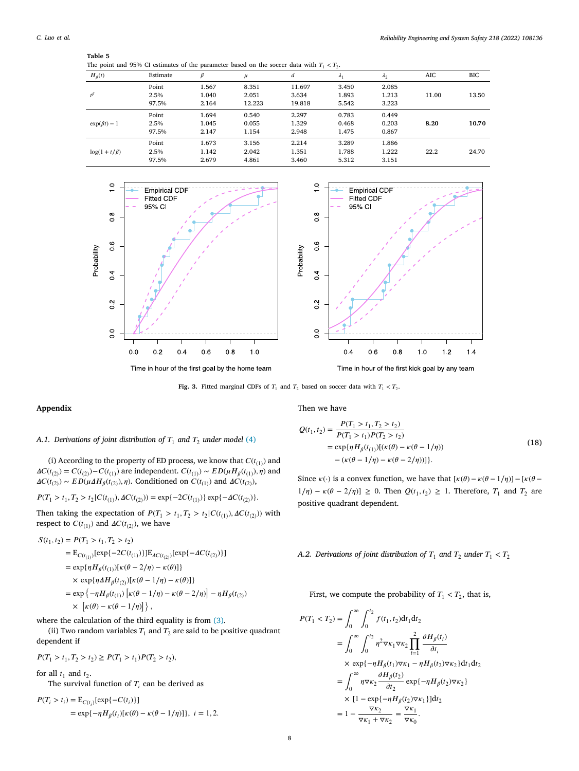**Table 5**

<span id="page-7-1"></span>

| tavic J |                                                                                           |  |
|---------|-------------------------------------------------------------------------------------------|--|
|         | The point and 95% CI estimates of the parameter based on the soccer data with $T_1 < T_2$ |  |

| The point and 95% CI estimates of the parameter based on the soccer data with $T_1 < T_2$ . |          |       |        |        |             |             |       |       |
|---------------------------------------------------------------------------------------------|----------|-------|--------|--------|-------------|-------------|-------|-------|
| $H_{\beta}(t)$                                                                              | Estimate | β     | $\mu$  | d      | $\lambda_1$ | $\lambda_2$ | AIC   | BІC   |
|                                                                                             | Point    | 1.567 | 8.351  | 11.697 | 3.450       | 2.085       |       |       |
| $t^{\beta}$                                                                                 | 2.5%     | 1.040 | 2.051  | 3.634  | 1.893       | 1.213       | 11.00 | 13.50 |
|                                                                                             | 97.5%    | 2.164 | 12.223 | 19.818 | 5.542       | 3.223       |       |       |
|                                                                                             | Point    | 1.694 | 0.540  | 2.297  | 0.783       | 0.449       |       |       |
| $\exp(\beta t) - 1$                                                                         | 2.5%     | 1.045 | 0.055  | 1.329  | 0.468       | 0.203       | 8.20  | 10.70 |
|                                                                                             | 97.5%    | 2.147 | 1.154  | 2.948  | 1.475       | 0.867       |       |       |
|                                                                                             | Point    | 1.673 | 3.156  | 2.214  | 3.289       | 1.886       |       |       |
| $\log(1+t/\beta)$                                                                           | 2.5%     | 1.142 | 2.042  | 1.351  | 1.788       | 1.222       | 22.2  | 24.70 |
|                                                                                             | 97.5%    | 2.679 | 4.861  | 3.460  | 5.312       | 3.151       |       |       |
|                                                                                             |          |       |        |        |             |             |       |       |



**Fig. 3.** Fitted marginal CDFs of  $T_1$  and  $T_2$  based on soccer data with  $T_1 < T_2$ .

<span id="page-7-2"></span>**Appendix**

Then we have

# <span id="page-7-0"></span>*A.1. Derivations of joint distribution of*  $T_1$  *and*  $T_2$  *under model* ([4](#page-2-2))

(i) According to the property of ED process, we know that  $C(t_{(1)})$  and  $\Delta C(t_{(2)}) = C(t_{(2)}) - C(t_{(1)})$  are independent.  $C(t_{(1)}) \sim ED(\mu H_{\beta}(t_{(1)}), \eta)$  and  $\Delta C(t_{(2)}) \sim ED(\mu \Delta H_{\beta}(t_{(2)}), \eta)$ . Conditioned on  $C(t_{(1)})$  and  $\Delta C(t_{(2)}),$ 

 $P(T_1 > t_1, T_2 > t_2 | C(t_{(1)}), \Delta C(t_{(2)})) = \exp\{-2C(t_{(1)})\} \exp\{-\Delta C(t_{(2)})\}.$ 

Then taking the expectation of  $P(T_1 > t_1, T_2 > t_2 | C(t_{(1)})$ ,  $\Delta C(t_{(2)})$ ) with respect to  $C(t_{(1)})$  and  $\Delta C(t_{(2)})$ , we have

$$
S(t_1, t_2) = P(T_1 > t_1, T_2 > t_2)
$$
  
=  $E_{C(t_{(1)})}[\exp\{-2C(t_{(1)})\}]E_{AC(t_{(2)})}[\exp\{-AC(t_{(2)})\}]$   
=  $\exp\{\eta H_{\beta}(t_{(1)})[\kappa(\theta - 2/\eta) - \kappa(\theta)]\}$   
 $\times \exp\{\eta \Delta H_{\beta}(t_{(2)})[\kappa(\theta - 1/\eta) - \kappa(\theta)]\}$   
=  $\exp\{-\eta H_{\beta}(t_{(1)}) [\kappa(\theta - 1/\eta) - \kappa(\theta - 2/\eta)] - \eta H_{\beta}(t_{(2)})$   
 $\times [\kappa(\theta) - \kappa(\theta - 1/\eta)]\},$ 

where the calculation of the third equality is from ([3\)](#page-2-5).

(ii) Two random variables  $T_1$  and  $T_2$  are said to be positive quadrant dependent if

$$
P(T_1 > t_1, T_2 > t_2) \ge P(T_1 > t_1)P(T_2 > t_2),
$$

for all  $t_1$  and  $t_2$ .

The survival function of  $T_i$  can be derived as

 $P(T_i > t_i) = E_{C(t_i)}[\exp\{-C(t_i)\}]$  $= \exp\{-\eta H_{\beta}(t_i)[\kappa(\theta) - \kappa(\theta - 1/\eta)]\}, i = 1, 2.$ 

$$
Q(t_1, t_2) = \frac{P(T_1 > t_1, T_2 > t_2)}{P(T_1 > t_1)P(T_2 > t_2)}
$$
  
=  $\exp{\{\eta H_\beta(t_{(1)})[(\kappa(\theta) - \kappa(\theta - 1/\eta))]}$   
-  $(\kappa(\theta - 1/\eta) - \kappa(\theta - 2/\eta))]\}.$  (18)

 $1.2$ 

 $14$ 

Since  $\kappa(\cdot)$  is a convex function, we have that  $[\kappa(\theta) - \kappa(\theta - 1/\eta)] - [\kappa(\theta 1/\eta$  –  $\kappa$ ( $\theta$  – 2/ $\eta$ )] ≥ 0. Then  $Q(t_1, t_2)$  ≥ 1. Therefore,  $T_1$  and  $T_2$  are positive quadrant dependent.

## *A.2. Derivations of joint distribution of*  $T_1$  *and*  $T_2$  *under*  $T_1 < T_2$

First, we compute the probability of  $T_1 < T_2$ , that is,

$$
P(T_1 < T_2) = \int_0^\infty \int_0^{t_2} f(t_1, t_2) dt_1 dt_2
$$
\n
$$
= \int_0^\infty \int_0^{t_2} \eta^2 \nabla \kappa_1 \nabla \kappa_2 \prod_{i=1}^2 \frac{\partial H_\beta(t_i)}{\partial t_i}
$$
\n
$$
\times \exp\{-\eta H_\beta(t_1) \nabla \kappa_1 - \eta H_\beta(t_2) \nabla \kappa_2\} dt_1 dt_2
$$
\n
$$
= \int_0^\infty \eta \nabla \kappa_2 \frac{\partial H_\beta(t_2)}{\partial t_2} \exp\{-\eta H_\beta(t_2) \nabla \kappa_2\}
$$
\n
$$
\times [1 - \exp\{-\eta H_\beta(t_2) \nabla \kappa_1\}] dt_2
$$
\n
$$
= 1 - \frac{\nabla \kappa_2}{\nabla \kappa_1 + \nabla \kappa_2} = \frac{\nabla \kappa_1}{\nabla \kappa_0}.
$$